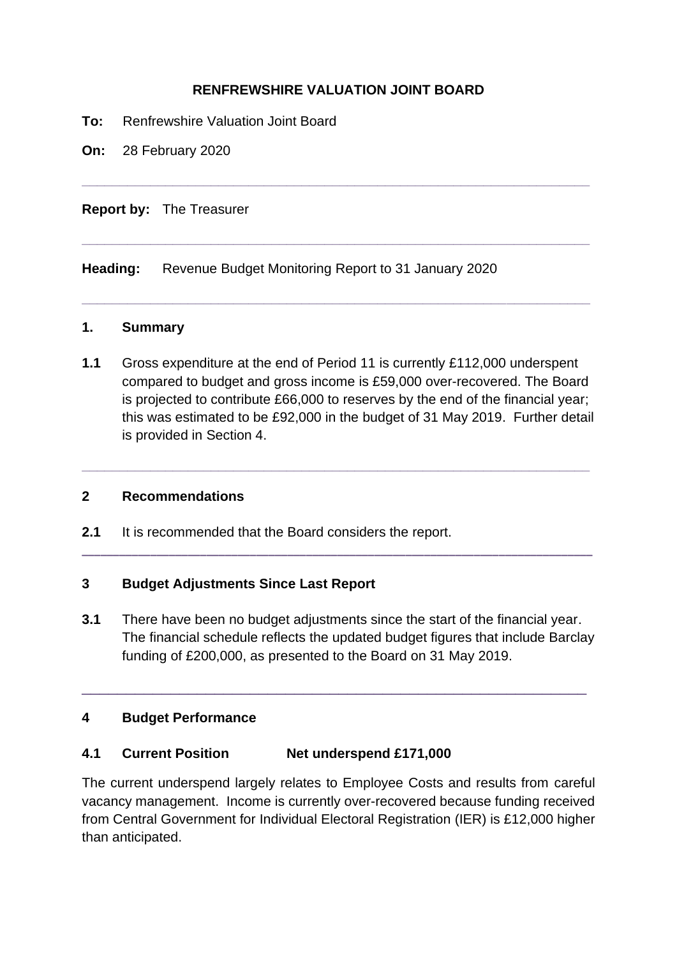# **RENFREWSHIRE VALUATION JOINT BOARD**

**\_\_\_\_\_\_\_\_\_\_\_\_\_\_\_\_\_\_\_\_\_\_\_\_\_\_\_\_\_\_\_\_\_\_\_\_\_\_\_\_\_\_\_\_\_\_\_\_\_\_\_\_\_\_\_\_\_\_\_\_\_\_\_\_\_\_\_**

**\_\_\_\_\_\_\_\_\_\_\_\_\_\_\_\_\_\_\_\_\_\_\_\_\_\_\_\_\_\_\_\_\_\_\_\_\_\_\_\_\_\_\_\_\_\_\_\_\_\_\_\_\_\_\_\_\_\_\_\_\_\_\_\_\_\_\_**

**\_\_\_\_\_\_\_\_\_\_\_\_\_\_\_\_\_\_\_\_\_\_\_\_\_\_\_\_\_\_\_\_\_\_\_\_\_\_\_\_\_\_\_\_\_\_\_\_\_\_\_\_\_\_\_\_\_\_\_\_\_\_\_\_\_\_\_**

- **To:** Renfrewshire Valuation Joint Board
- **On:** 28 February 2020

## **Report by:** The Treasurer

**Heading:** Revenue Budget Monitoring Report to 31 January 2020

### **1. Summary**

**1.1** Gross expenditure at the end of Period 11 is currently £112,000 underspent compared to budget and gross income is £59,000 over-recovered. The Board is projected to contribute £66,000 to reserves by the end of the financial year; this was estimated to be £92,000 in the budget of 31 May 2019. Further detail is provided in Section 4.

**\_\_\_\_\_\_\_\_\_\_\_\_\_\_\_\_\_\_\_\_\_\_\_\_\_\_\_\_\_\_\_\_\_\_\_\_\_\_\_\_\_\_\_\_\_\_\_\_\_\_\_\_\_\_\_\_\_\_\_\_\_\_\_\_\_\_\_**

### **2 Recommendations**

**2.1** It is recommended that the Board considers the report.

# **3 Budget Adjustments Since Last Report**

**3.1** There have been no budget adjustments since the start of the financial year. The financial schedule reflects the updated budget figures that include Barclay funding of £200,000, as presented to the Board on 31 May 2019.

\_\_\_\_\_\_\_\_\_\_\_\_\_\_\_\_\_\_\_\_\_\_\_\_\_\_\_\_\_\_\_\_\_\_\_\_\_\_\_\_\_\_\_\_\_\_\_\_\_\_\_\_\_\_\_\_\_

**\_\_\_\_\_\_\_\_\_\_\_\_\_\_\_\_\_\_\_\_\_\_\_\_\_\_\_\_\_\_\_\_\_\_\_\_\_\_\_\_\_\_\_\_\_\_\_\_\_\_\_\_\_\_\_\_\_\_\_\_\_\_\_\_\_\_\_\_\_\_\_\_\_\_\_\_\_\_\_\_\_\_** 

# **4 Budget Performance**

### **4.1 Current Position Net underspend £171,000**

The current underspend largely relates to Employee Costs and results from careful vacancy management. Income is currently over-recovered because funding received from Central Government for Individual Electoral Registration (IER) is £12,000 higher than anticipated.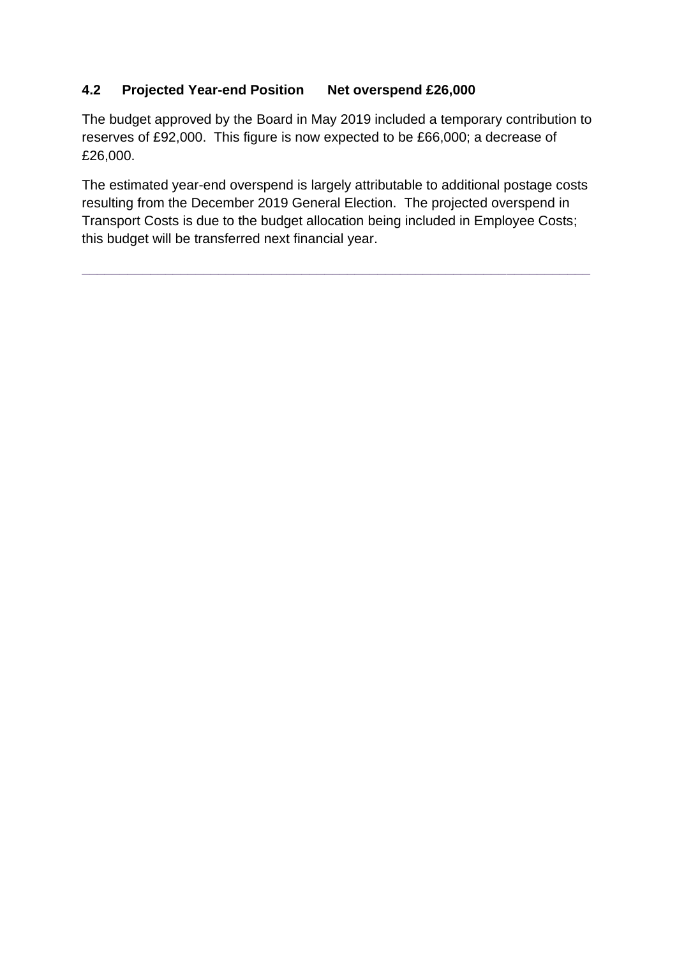# **4.2 Projected Year-end Position Net overspend £26,000**

The budget approved by the Board in May 2019 included a temporary contribution to reserves of £92,000. This figure is now expected to be £66,000; a decrease of £26,000.

The estimated year-end overspend is largely attributable to additional postage costs resulting from the December 2019 General Election. The projected overspend in Transport Costs is due to the budget allocation being included in Employee Costs; this budget will be transferred next financial year.

**\_\_\_\_\_\_\_\_\_\_\_\_\_\_\_\_\_\_\_\_\_\_\_\_\_\_\_\_\_\_\_\_\_\_\_\_\_\_\_\_\_\_\_\_\_\_\_\_\_\_\_\_\_\_\_\_\_\_\_\_\_\_\_\_\_\_\_**